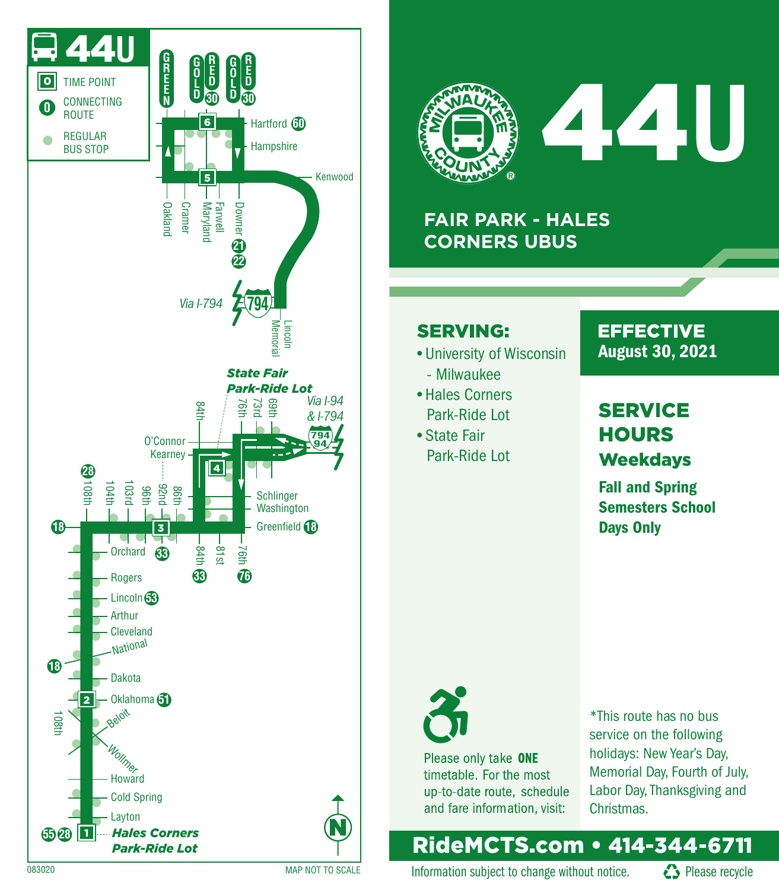



# 44**U**

### **FAIR PARK - HALES CORNERS UBUS**

#### **SERVING:**

- University of Wisconsin **August 30, 2021** 
	- Milwaukee
- •Hales Corners Park-Ride Lot
- •State Fair

# **EFFECTIVE**

## **SERVICE HOURS** Park-Ride Lot Weekdays

Fall and Spring Semesters School Days Only



Please only take ONE timetable. For the most up-to-date route, schedule and fare information, visit:

\*This route has no bus service on the following holidays: New Year's Day, Memorial Day, Fourth of July, Labor Day, Thanksgiving and Christmas.

## RideMCTS.com • 414-344-6711

Information subject to change without notice.  $\bullet$  Please recycle